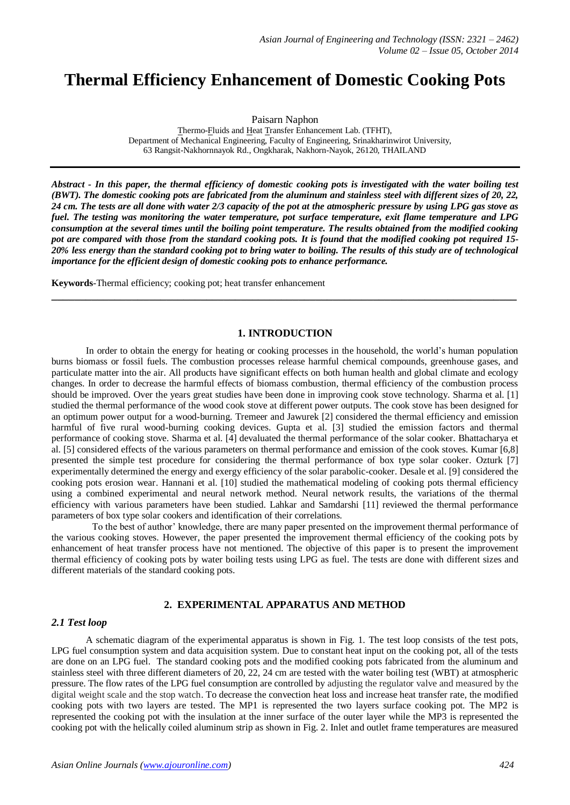# **Thermal Efficiency Enhancement of Domestic Cooking Pots**

Paisarn Naphon

Thermo-Fluids and Heat Transfer Enhancement Lab. (TFHT), Department of Mechanical Engineering, Faculty of Engineering, Srinakharinwirot University, 63 Rangsit-Nakhornnayok Rd., Ongkharak, Nakhorn-Nayok, 26120, THAILAND

*Abstract - In this paper, the thermal efficiency of domestic cooking pots is investigated with the water boiling test (BWT). The domestic cooking pots are fabricated from the aluminum and stainless steel with different sizes of 20, 22, 24 cm. The tests are all done with water 2/3 capacity of the pot at the atmospheric pressure by using LPG gas stove as fuel. The testing was monitoring the water temperature, pot surface temperature, exit flame temperature and LPG consumption at the several times until the boiling point temperature. The results obtained from the modified cooking pot are compared with those from the standard cooking pots. It is found that the modified cooking pot required 15- 20% less energy than the standard cooking pot to bring water to boiling. The results of this study are of technological importance for the efficient design of domestic cooking pots to enhance performance.*

**Keywords**-Thermal efficiency; cooking pot; heat transfer enhancement

## **1. INTRODUCTION**

**\_\_\_\_\_\_\_\_\_\_\_\_\_\_\_\_\_\_\_\_\_\_\_\_\_\_\_\_\_\_\_\_\_\_\_\_\_\_\_\_\_\_\_\_\_\_\_\_\_\_\_\_\_\_\_\_\_\_\_\_\_\_\_\_\_\_\_\_\_\_\_\_\_\_\_\_\_\_\_\_\_**

In order to obtain the energy for heating or cooking processes in the household, the world's human population burns biomass or fossil fuels. The combustion processes release harmful chemical compounds, greenhouse gases, and particulate matter into the air. All products have significant effects on both human health and global climate and ecology changes. In order to decrease the harmful effects of biomass combustion, thermal efficiency of the combustion process should be improved. Over the years great studies have been done in improving cook stove technology. [Sharma](file:///C:/Users/BINARY/AppData/Local/Microsoft/Windows/science) et al. [1] studied the thermal performance of the wood cook stove at different power outputs. The cook stove has been designed for an optimum power output for a wood-burning. Tremeer and Jawurek [2] considered the thermal efficiency and emission harmful of five rural wood-burning cooking devices. Gupta et al. [3] studied the emission factors and thermal performance of cooking stove. Sharma et al. [4] devaluated the thermal performance of the solar cooker. Bhattacharya et al. [5] considered effects of the various parameters on thermal performance and emission of the cook stoves. Kumar [6,8] presented the simple test procedure for considering the thermal performance of box type solar cooker. Ozturk [7] experimentally determined the energy and exergy efficiency of the solar parabolic-cooker. Desale et al. [9] considered the cooking pots erosion wear. Hannani et al. [10] studied the mathematical modeling of cooking pots thermal efficiency using a combined experimental and neural network method. Neural network results, the variations of the thermal efficiency with various parameters have been studied. Lahkar and Samdarshi [11] reviewed the thermal performance parameters of box type solar cookers and identification of their correlations.

To the best of author' knowledge, there are many paper presented on the improvement thermal performance of the various cooking stoves. However, the paper presented the improvement thermal efficiency of the cooking pots by enhancement of heat transfer process have not mentioned. The objective of this paper is to present the improvement thermal efficiency of cooking pots by water boiling tests using LPG as fuel. The tests are done with different sizes and different materials of the standard cooking pots.

## **2. EXPERIMENTAL APPARATUS AND METHOD**

#### *2.1 Test loop*

A schematic diagram of the experimental apparatus is shown in Fig. 1. The test loop consists of the test pots, LPG fuel consumption system and data acquisition system. Due to constant heat input on the cooking pot, all of the tests are done on an LPG fuel. The standard cooking pots and the modified cooking pots fabricated from the aluminum and stainless steel with three different diameters of 20, 22, 24 cm are tested with the water boiling test (WBT) at atmospheric pressure. The flow rates of the LPG fuel consumption are controlled by adjusting the regulator valve and measured by the digital weight scale and the stop watch. To decrease the convection heat loss and increase heat transfer rate, the modified cooking pots with two layers are tested. The MP1 is represented the two layers surface cooking pot. The MP2 is represented the cooking pot with the insulation at the inner surface of the outer layer while the MP3 is represented the cooking pot with the helically coiled aluminum strip as shown in Fig. 2. Inlet and outlet frame temperatures are measured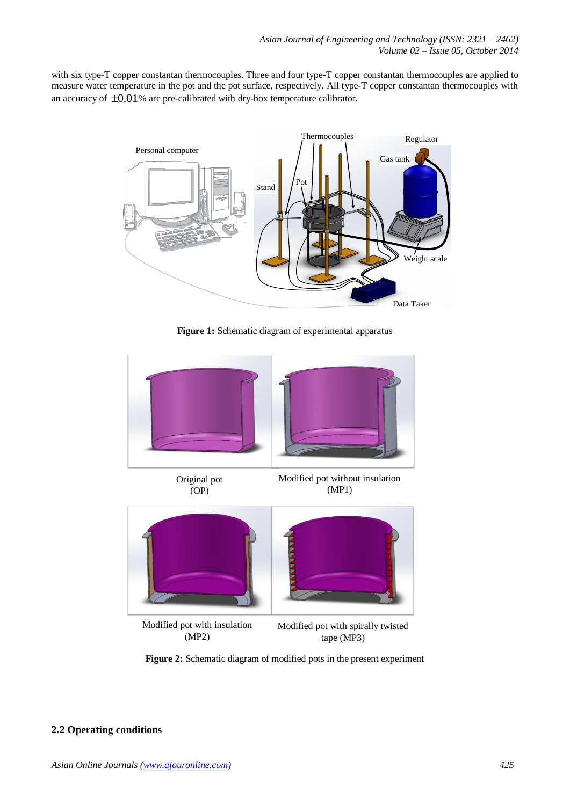with six type-T copper constantan thermocouples. Three and four type-T copper constantan thermocouples are applied to measure water temperature in the pot and the pot surface, respectively. All type-T copper constantan thermocouples with an accuracy of  $\pm 0.01$ % are pre-calibrated with dry-box temperature calibrator.



**Figure 1:** Schematic diagram of experimental apparatus



**Figure 2:** Schematic diagram of modified pots in the present experiment

## **2.2 Operating conditions**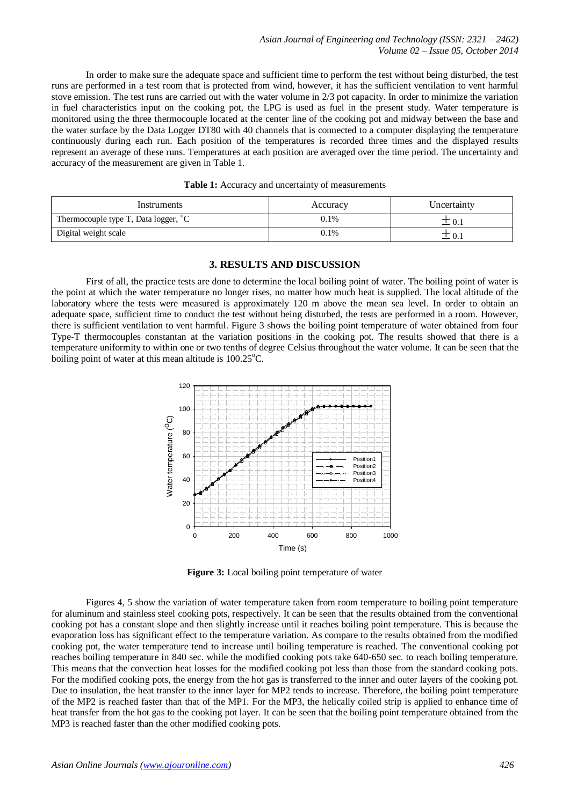In order to make sure the adequate space and sufficient time to perform the test without being disturbed, the test runs are performed in a test room that is protected from wind, however, it has the sufficient ventilation to vent harmful stove emission. The test runs are carried out with the water volume in 2/3 pot capacity. In order to minimize the variation in fuel characteristics input on the cooking pot, the LPG is used as fuel in the present study. Water temperature is monitored using the three thermocouple located at the center line of the cooking pot and midway between the base and the water surface by the Data Logger DT80 with 40 channels that is connected to a computer displaying the temperature continuously during each run. Each position of the temperatures is recorded three times and the displayed results represent an average of these runs. Temperatures at each position are averaged over the time period. The uncertainty and accuracy of the measurement are given in Table 1.

| Instruments                                      | Accuracy | Uncertainty |
|--------------------------------------------------|----------|-------------|
| Thermocouple type T, Data logger, <sup>o</sup> C | 0.1%     | 工 0. .      |
| Digital weight scale                             | 0.1%     | $\theta$ .  |

#### Table 1: Accuracy and uncertainty of measurements

#### **3. RESULTS AND DISCUSSION**

First of all, the practice tests are done to determine the local boiling point of water. The boiling point of water is the point at which the water temperature no longer rises, no matter how much heat is supplied. The local altitude of the laboratory where the tests were measured is approximately 120 m above the mean sea level. In order to obtain an adequate space, sufficient time to conduct the test without being disturbed, the tests are performed in a room. However, there is sufficient ventilation to vent harmful. Figure 3 shows the boiling point temperature of water obtained from four Type-T thermocouples constantan at the variation positions in the cooking pot. The results showed that there is a temperature uniformity to within one or two tenths of degree Celsius throughout the water volume. It can be seen that the boiling point of water at this mean altitude is  $100.25^{\circ}$ C.



**Figure 3:** Local boiling point temperature of water

Figures 4, 5 show the variation of water temperature taken from room temperature to boiling point temperature for aluminum and stainless steel cooking pots, respectively. It can be seen that the results obtained from the conventional cooking pot has a constant slope and then slightly increase until it reaches boiling point temperature. This is because the evaporation loss has significant effect to the temperature variation. As compare to the results obtained from the modified cooking pot, the water temperature tend to increase until boiling temperature is reached. The conventional cooking pot reaches boiling temperature in 840 sec. while the modified cooking pots take 640-650 sec. to reach boiling temperature. This means that the convection heat losses for the modified cooking pot less than those from the standard cooking pots. For the modified cooking pots, the energy from the hot gas is transferred to the inner and outer layers of the cooking pot. Due to insulation, the heat transfer to the inner layer for MP2 tends to increase. Therefore, the boiling point temperature of the MP2 is reached faster than that of the MP1. For the MP3, the helically coiled strip is applied to enhance time of heat transfer from the hot gas to the cooking pot layer. It can be seen that the boiling point temperature obtained from the MP3 is reached faster than the other modified cooking pots.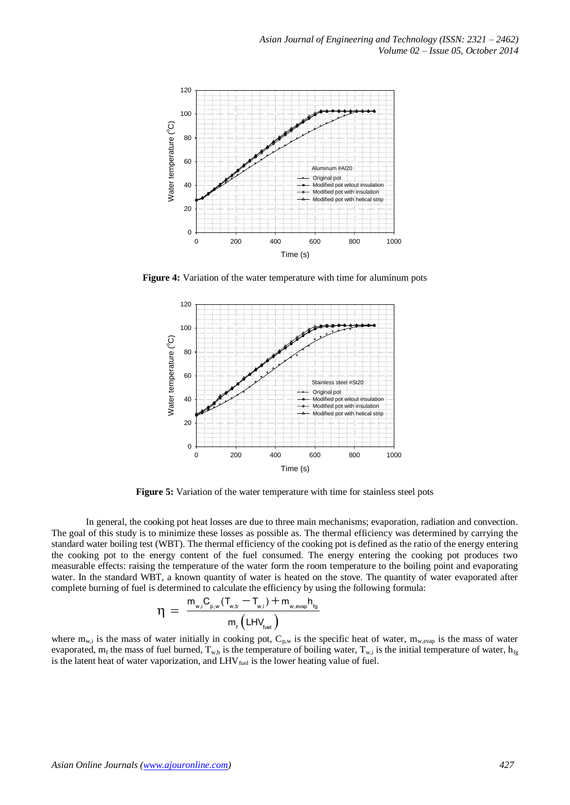

**Figure 4:** Variation of the water temperature with time for aluminum pots



**Figure 5:** Variation of the water temperature with time for stainless steel pots

In general, the cooking pot heat losses are due to three main mechanisms; evaporation, radiation and convection. The goal of this study is to minimize these losses as possible as. The thermal efficiency was determined by carrying the standard water boiling test (WBT). The thermal efficiency of the cooking pot is defined as the ratio of the energy entering the cooking pot to the energy content of the fuel consumed. The energy entering the cooking pot produces two measurable effects: raising the temperature of the water form the room temperature to the boiling point and evaporating water. In the standard WBT, a known quantity of water is heated on the stove. The quantity of water evaporated after complete burning of fuel is determined to calculate the efficiency by using the following formula:<br>  $m = \frac{m_{w,i}C_{p,w}(T_{w,b} - T_{w,i}) + m_{w,evap}h_{fg}}{m_{w,i}C_{p,w}(T_{w,b} - T_{w,i}) + m_{w,evap}h_{fg}}$ 

$$
\eta = \frac{m_{w,i}C_{p,w}(T_{w,b} - T_{w,i}) + m_{w,evap}h_{fg}}{m_f(LHV_{fuel})}
$$

where  $m_{w,i}$  is the mass of water initially in cooking pot,  $C_{p,w}$  is the specific heat of water,  $m_{w,evap}$  is the mass of water evaporated, m<sub>f</sub> the mass of fuel burned, T<sub>w,b</sub> is the temperature of boiling water, T<sub>w,i</sub> is the initial temperature of water, h<sub>fg</sub> is the latent heat of water vaporization, and  $LHV_{fuel}$  is the lower heating value of fuel.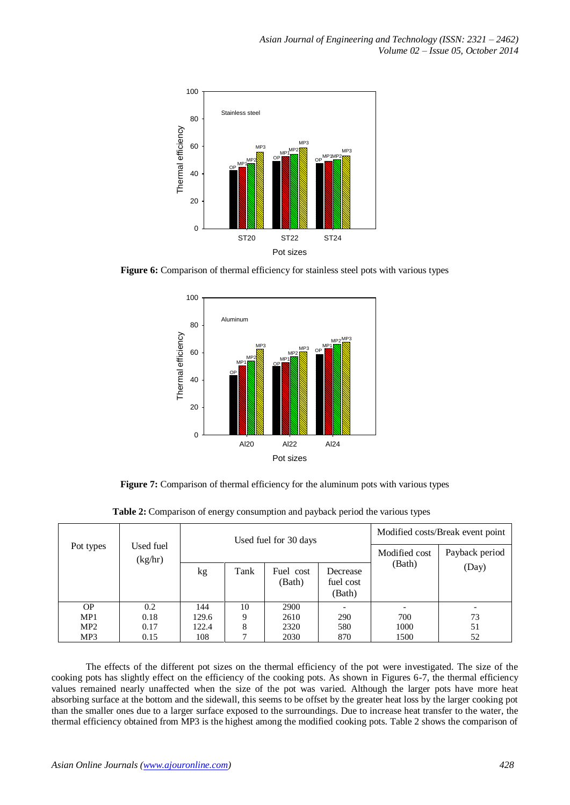

**Figure 6:** Comparison of thermal efficiency for stainless steel pots with various types



**Figure 7:** Comparison of thermal efficiency for the aluminum pots with various types

| Pot types       | Used fuel<br>(kg/hr) | Used fuel for 30 days |      |                     | Modified costs/Break event point |                |       |
|-----------------|----------------------|-----------------------|------|---------------------|----------------------------------|----------------|-------|
|                 |                      |                       |      |                     | Modified cost                    | Payback period |       |
|                 |                      | kg                    | Tank | Fuel cost<br>(Bath) | Decrease<br>fuel cost<br>(Bath)  | (Bath)         | (Day) |
| <b>OP</b>       | 0.2                  | 144                   | 10   | 2900                |                                  |                |       |
| MP1             | 0.18                 | 129.6                 | 9    | 2610                | 290                              | 700            | 73    |
| MP <sub>2</sub> | 0.17                 | 122.4                 | 8    | 2320                | 580                              | 1000           | 51    |
| MP3             | 0.15                 | 108                   |      | 2030                | 870                              | 1500           | 52    |

**Table 2:** Comparison of energy consumption and payback period the various types

The effects of the different pot sizes on the thermal efficiency of the pot were investigated. The size of the cooking pots has slightly effect on the efficiency of the cooking pots. As shown in Figures 6-7, the thermal efficiency values remained nearly unaffected when the size of the pot was varied. Although the larger pots have more heat absorbing surface at the bottom and the sidewall, this seems to be offset by the greater heat loss by the larger cooking pot than the smaller ones due to a larger surface exposed to the surroundings. Due to increase heat transfer to the water, the thermal efficiency obtained from MP3 is the highest among the modified cooking pots. Table 2 shows the comparison of